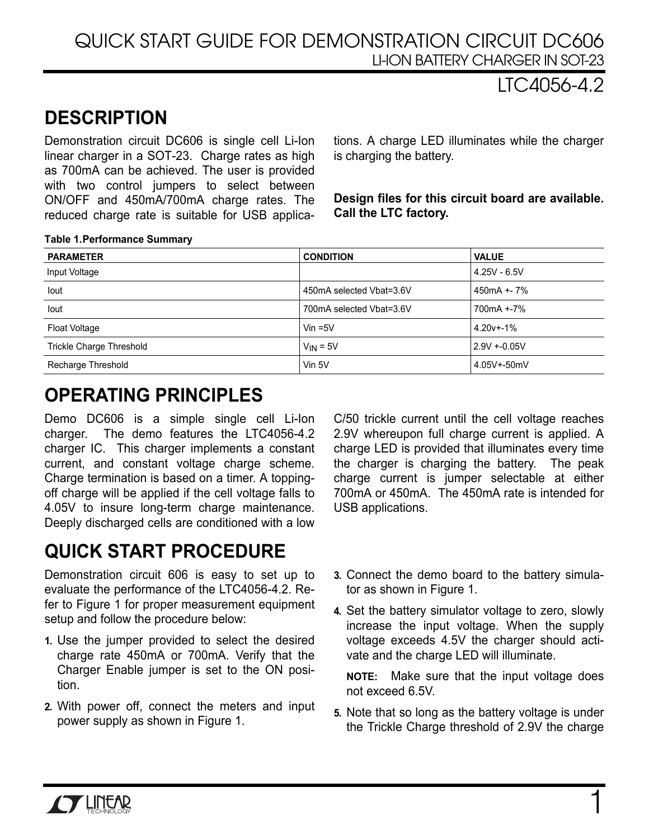### QUICK START GUIDE FOR DEMONSTRATION CIRCUIT DC606 LI-ION BATTERY CHARGER IN SOT-23

## LTC4056-4.2

# **DESCRIPTION**

Demonstration circuit DC606 is single cell Li-Ion linear charger in a SOT-23. Charge rates as high as 700mA can be achieved. The user is provided with two control jumpers to select between ON/OFF and 450mA/700mA charge rates. The reduced charge rate is suitable for USB applications. A charge LED illuminates while the charger is charging the battery.

**Design files for this circuit board are available. Call the LTC factory.** 

#### **Table 1. Performance Summary**

| <b>PARAMETER</b>                | <b>CONDITION</b>         | <b>VALUE</b>   |
|---------------------------------|--------------------------|----------------|
| Input Voltage                   |                          | $4.25V - 6.5V$ |
| lout                            | 450mA selected Vbat=3.6V | 450mA +- 7%    |
| lout                            | 700mA selected Vbat=3.6V | 700mA +-7%     |
| Float Voltage                   | Vin $=5V$                | $4.20v + -1%$  |
| <b>Trickle Charge Threshold</b> | $V_{IN} = 5V$            | $2.9V + 0.05V$ |
| Recharge Threshold              | Vin 5V                   | 4.05V+-50mV    |

## **OPERATING PRINCIPLES**

Demo DC606 is a simple single cell Li-Ion charger. The demo features the LTC4056-4.2 charger IC. This charger implements a constant current, and constant voltage charge scheme. Charge termination is based on a timer. A toppingoff charge will be applied if the cell voltage falls to 4.05V to insure long-term charge maintenance. Deeply discharged cells are conditioned with a low

# **QUICK START PROCEDURE**

Demonstration circuit 606 is easy to set up to evaluate the performance of the LTC4056-4.2. Refer to Figure 1 for proper measurement equipment setup and follow the procedure below:

- **1.** Use the jumper provided to select the desired charge rate 450mA or 700mA. Verify that the Charger Enable jumper is set to the ON position.
- **2.** With power off, connect the meters and input power supply as shown in Figure 1.

C/50 trickle current until the cell voltage reaches 2.9V whereupon full charge current is applied. A charge LED is provided that illuminates every time the charger is charging the battery. The peak charge current is jumper selectable at either 700mA or 450mA. The 450mA rate is intended for USB applications.

- **3.** Connect the demo board to the battery simulator as shown in Figure 1.
- **4.** Set the battery simulator voltage to zero, slowly increase the input voltage. When the supply voltage exceeds 4.5V the charger should activate and the charge LED will illuminate.

**NOTE:** Make sure that the input voltage does not exceed 6.5V.

**5.** Note that so long as the battery voltage is under the Trickle Charge threshold of 2.9V the charge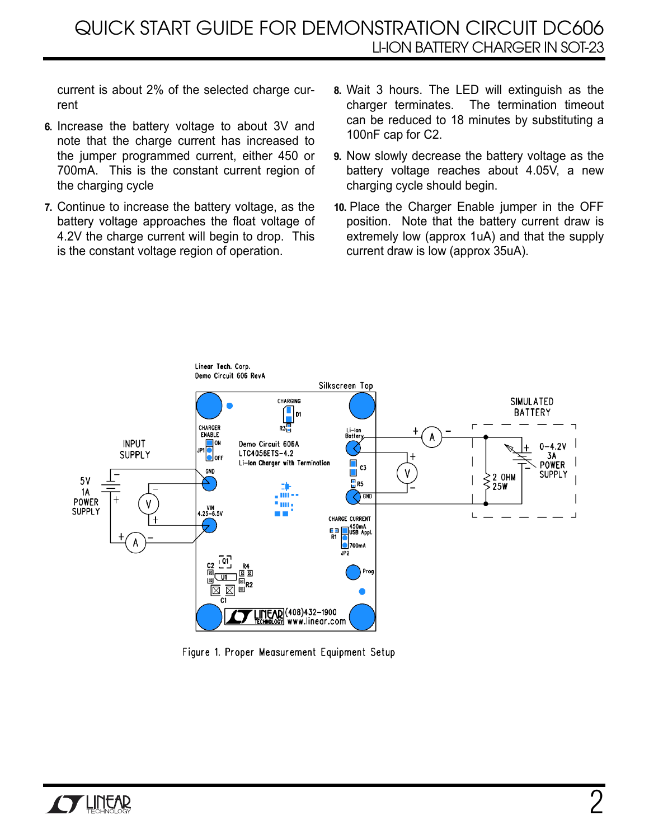current is about 2% of the selected charge current

- **6.** Increase the battery voltage to about 3V and note that the charge current has increased to the jumper programmed current, either 450 or 700mA. This is the constant current region of the charging cycle
- **7.** Continue to increase the battery voltage, as the battery voltage approaches the float voltage of 4.2V the charge current will begin to drop. This is the constant voltage region of operation.
- **8.** Wait 3 hours. The LED will extinguish as the charger terminates. The termination timeout can be reduced to 18 minutes by substituting a 100nF cap for C2.
- **9.** Now slowly decrease the battery voltage as the battery voltage reaches about 4.05V, a new charging cycle should begin.
- **10.** Place the Charger Enable jumper in the OFF position. Note that the battery current draw is extremely low (approx 1uA) and that the supply current draw is low (approx 35uA).



Figure 1. Proper Measurement Equipment Setup